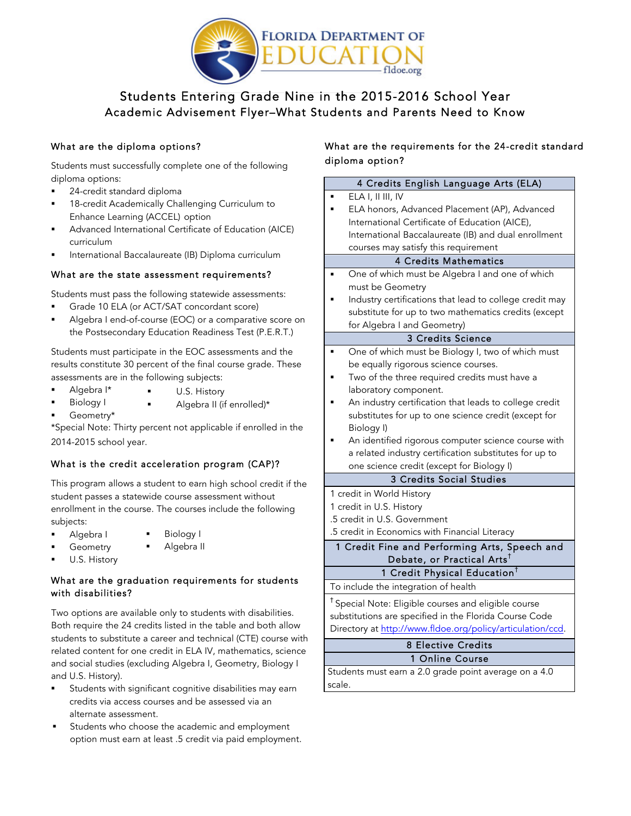

# \\ Academic Advisement Flyer–What Students and Parents Need to Know Students Entering Grade Nine in the 2015-2016 School Year

## What are the diploma options?

 Students must successfully complete one of the following diploma options:

- **24-credit standard diploma**
- **18-credit Academically Challenging Curriculum to** Enhance Learning (ACCEL) option
- ! Advanced International Certificate of Education (AICE) curriculum
- **I** International Baccalaureate (IB) Diploma curriculum

## What are the state assessment requirements?

Students must pass the following statewide assessments:

- ! Grade 10 ELA (or ACT/SAT concordant score)
- ! Algebra I end-of-course (EOC) or a comparative score on the Postsecondary Education Readiness Test (P.E.R.T.)

 Students must participate in the EOC assessments and the results constitute 30 percent of the final course grade. These assessments are in the following subjects:

- Algebra I\* ■ Algebra I\* ■ U.S. History
- **Biology I Example 1 Algebra II** (if enrolled)\*
- Geometry\*

**"** Geometry\*<br>\*Special Note: Thirty percent not applicable if enrolled in the 2014-2015 school year.

## What is the credit acceleration program (CAP)?

 This program allows a student to earn high school credit if the student passes a statewide course assessment without enrollment in the course. The courses include the following subjects:

- Algebra I · · · · Biology I
	- Geometry **.** Algebra II
- U.S. History

## What are the graduation requirements for students with disabilities?

 Both require the 24 credits listed in the table and both allow students to substitute a career and technical (CTE) course with related content for one credit in ELA IV, mathematics, science and social studies (excluding Algebra I, Geometry, Biology I and U.S. History). Two options are available only to students with disabilities.

- **IX8** Students with significant cognitive disabilities may earn credits via access courses and be assessed via an alternate assessment.
- ! Students who choose the academic and employment option must earn at least .5 credit via paid employment.

## What are the requirements for the 24-credit standard diploma option?

| 4 Credits English Language Arts (ELA)                           |
|-----------------------------------------------------------------|
| ELA I, II III, IV                                               |
| ELA honors, Advanced Placement (AP), Advanced                   |
| International Certificate of Education (AICE),                  |
| International Baccalaureate (IB) and dual enrollment            |
| courses may satisfy this requirement                            |
| <b>4 Credits Mathematics</b>                                    |
| One of which must be Algebra I and one of which                 |
| must be Geometry                                                |
| Industry certifications that lead to college credit may         |
| substitute for up to two mathematics credits (except            |
| for Algebra I and Geometry)                                     |
| 3 Credits Science                                               |
| One of which must be Biology I, two of which must               |
| be equally rigorous science courses.                            |
| Two of the three required credits must have a                   |
| laboratory component.                                           |
| An industry certification that leads to college credit          |
| substitutes for up to one science credit (except for            |
| Biology I)                                                      |
| An identified rigorous computer science course with             |
| a related industry certification substitutes for up to          |
| one science credit (except for Biology I)                       |
| 3 Credits Social Studies                                        |
| 1 credit in World History                                       |
| 1 credit in U.S. History                                        |
| .5 credit in U.S. Government                                    |
| .5 credit in Economics with Financial Literacy                  |
| 1 Credit Fine and Performing Arts, Speech and                   |
| Debate, or Practical Arts <sup>t</sup>                          |
| <b>1 Credit Physical Education<math>^\dagger</math></b>         |
| To include the integration of health                            |
| <sup>†</sup> Special Note: Eligible courses and eligible course |
| substitutions are specified in the Florida Course Code          |
| Directory at http://www.fldoe.org/policy/articulation/ccd.      |
| $0$ Elective Credits                                            |

8 Elective Credits 1 Online Course

 Students must earn a 2.0 grade point average on a 4.0 scale.